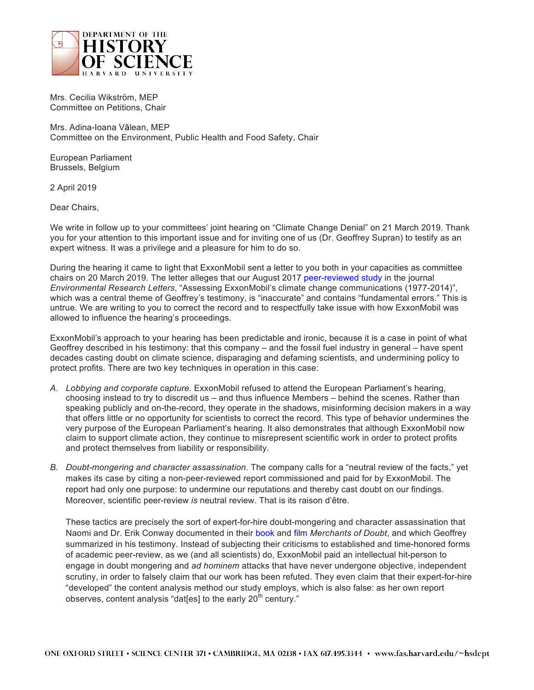

Mrs. Cecilia Wikström, MEP Committee on Petitions, Chair

Mrs. Adina-Ioana Vălean, MEP Committee on the Environment, Public Health and Food Safety, Chair

European Parliament Brussels, Belgium

2 April 2019

Dear Chairs,

We write in follow up to your committees' joint hearing on "Climate Change Denial" on 21 March 2019. Thank you for your attention to this important issue and for inviting one of us (Dr. Geoffrey Supran) to testify as an expert witness. It was a privilege and a pleasure for him to do so.

During the hearing it came to light that ExxonMobil sent a letter to you both in your capacities as committee chairs on 20 March 2019. The letter alleges that our August 2017 [peer-reviewed](https://iopscience.iop.org/article/10.1088/1748-9326/aa815f) study in the journal *Environmental Research Letters*, "Assessing ExxonMobil's climate change communications (1977-2014)", which was a central theme of Geoffrey's testimony, is "inaccurate" and contains "fundamental errors." This is untrue. We are writing to you to correct the record and to respectfully take issue with how ExxonMobil was allowed to influence the hearing's proceedings.

ExxonMobil's approach to your hearing has been predictable and ironic, because it is a case in point of what Geoffrey described in his testimony: that this company – and the fossil fuel industry in general – have spent decades casting doubt on climate science, disparaging and defaming scientists, and undermining policy to protect profits. There are two key techniques in operation in this case:

- *A. Lobbying and corporate capture.* ExxonMobil refused to attend the European Parliament's hearing, choosing instead to try to discredit us – and thus influence Members – behind the scenes. Rather than speaking publicly and on-the-record, they operate in the shadows, misinforming decision makers in a way that offers little or no opportunity for scientists to correct the record. This type of behavior undermines the very purpose of the European Parliament's hearing. It also demonstrates that although ExxonMobil now claim to support climate action, they continue to misrepresent scientific work in order to protect profits and protect themselves from liability or responsibility.
- *B. Doubt-mongering and character assassination.* The company calls for a "neutral review of the facts," yet makes its case by citing a non-peer-reviewed report commissioned and paid for by ExxonMobil. The report had only one purpose: to undermine our reputations and thereby cast doubt on our findings. Moreover, scientific peer-review *is* neutral review. That is its raison d'être.

These tactics are precisely the sort of expert-for-hire doubt-mongering and character assassination that Naomi and Dr. Erik Conway documented in their [book](https://www.bloomsbury.com/uk/merchants-of-doubt-9781596916104/) and [film](https://www.participantmedia.com/film/merchants-doubt) *Merchants of Doubt*, and which Geoffrey summarized in his testimony. Instead of subjecting their criticisms to established and time-honored forms of academic peer-review, as we (and all scientists) do, ExxonMobil paid an intellectual hit-person to engage in doubt mongering and *ad hominem* attacks that have never undergone objective, independent scrutiny, in order to falsely claim that our work has been refuted. They even claim that their expert-for-hire "developed" the content analysis method our study employs, which is also false: as her own report observes, content analysis "dat[es] to the early  $20<sup>th</sup>$  century."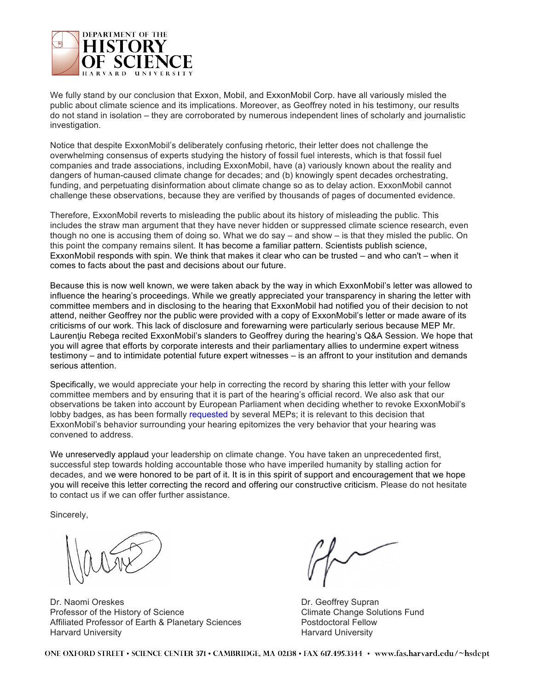

We fully stand by our conclusion that Exxon, Mobil, and ExxonMobil Corp. have all variously misled the public about climate science and its implications. Moreover, as Geoffrey noted in his testimony, our results do not stand in isolation – they are corroborated by numerous independent lines of scholarly and journalistic investigation.

Notice that despite ExxonMobil's deliberately confusing rhetoric, their letter does not challenge the overwhelming consensus of experts studying the history of fossil fuel interests, which is that fossil fuel companies and trade associations, including ExxonMobil, have (a) variously known about the reality and dangers of human-caused climate change for decades; and (b) knowingly spent decades orchestrating, funding, and perpetuating disinformation about climate change so as to delay action. ExxonMobil cannot challenge these observations, because they are verified by thousands of pages of documented evidence.

Therefore, ExxonMobil reverts to misleading the public about its history of misleading the public. This includes the straw man argument that they have never hidden or suppressed climate science research, even though no one is accusing them of doing so. What we do say – and show – is that they misled the public. On this point the company remains silent. It has become a familiar pattern. Scientists publish science, ExxonMobil responds with spin. We think that makes it clear who can be trusted – and who can't – when it comes to facts about the past and decisions about our future.

Because this is now well known, we were taken aback by the way in which ExxonMobil's letter was allowed to influence the hearing's proceedings. While we greatly appreciated your transparency in sharing the letter with committee members and in disclosing to the hearing that ExxonMobil had notified you of their decision to not attend, neither Geoffrey nor the public were provided with a copy of ExxonMobil's letter or made aware of its criticisms of our work. This lack of disclosure and forewarning were particularly serious because MEP Mr. Laurentiu Rebega recited ExxonMobil's slanders to Geoffrey during the hearing's Q&A Session. We hope that you will agree that efforts by corporate interests and their parliamentary allies to undermine expert witness testimony – and to intimidate potential future expert witnesses – is an affront to your institution and demands serious attention.

Specifically, we would appreciate your help in correcting the record by sharing this letter with your fellow committee members and by ensuring that it is part of the hearing's official record. We also ask that our observations be taken into account by European Parliament when deciding whether to revoke ExxonMobil's lobby badges, as has been formally [requested](https://www.theguardian.com/business/2019/mar/22/exxonmobil-faces-eu-parliaments-ban-after-climate-hearing-no-show) by several MEPs; it is relevant to this decision that ExxonMobil's behavior surrounding your hearing epitomizes the very behavior that your hearing was convened to address.

We unreservedly applaud your leadership on climate change. You have taken an unprecedented first, successful step towards holding accountable those who have imperiled humanity by stalling action for decades, and we were honored to be part of it. It is in this spirit of support and encouragement that we hope you will receive this letter correcting the record and offering our constructive criticism. Please do not hesitate to contact us if we can offer further assistance.

Sincerely,

Dr. Naomi Oreskes **Dr. Geoffrey Supran** Professor of the History of Science Climate Change Solutions Fund Affiliated Professor of Earth & Planetary Sciences **Postdoctoral Fellow** Harvard University Harvard University

ONE OXFORD STREET • SCIENCE CENTER 371 • CAMBRIDGE, MA 02138 • FAX 617.495.3344 • www.fas.harvard.edu/~hsdept